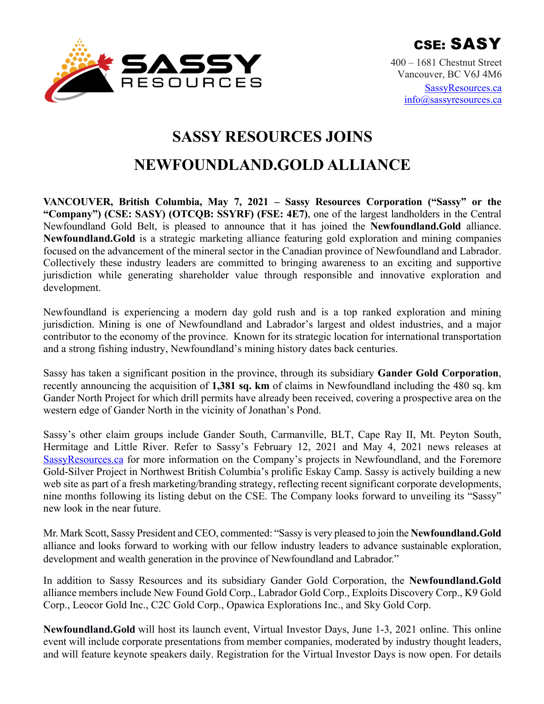

400 – 1681 Chestnut Street Vancouver, BC V6J 4M6 SassyResources.ca info@sassyresources.ca

# **SASSY RESOURCES JOINS**

## **NEWFOUNDLAND.GOLD ALLIANCE**

**VANCOUVER, British Columbia, May 7, 2021 – Sassy Resources Corporation ("Sassy" or the "Company") (CSE: SASY) (OTCQB: SSYRF) (FSE: 4E7)**, one of the largest landholders in the Central Newfoundland Gold Belt, is pleased to announce that it has joined the **Newfoundland.Gold** alliance. **Newfoundland.Gold** is a strategic marketing alliance featuring gold exploration and mining companies focused on the advancement of the mineral sector in the Canadian province of Newfoundland and Labrador. Collectively these industry leaders are committed to bringing awareness to an exciting and supportive jurisdiction while generating shareholder value through responsible and innovative exploration and development.

Newfoundland is experiencing a modern day gold rush and is a top ranked exploration and mining jurisdiction. Mining is one of Newfoundland and Labrador's largest and oldest industries, and a major contributor to the economy of the province. Known for its strategic location for international transportation and a strong fishing industry, Newfoundland's mining history dates back centuries.

Sassy has taken a significant position in the province, through its subsidiary **Gander Gold Corporation**, recently announcing the acquisition of **1,381 sq. km** of claims in Newfoundland including the 480 sq. km Gander North Project for which drill permits have already been received, covering a prospective area on the western edge of Gander North in the vicinity of Jonathan's Pond.

Sassy's other claim groups include Gander South, Carmanville, BLT, Cape Ray II, Mt. Peyton South, Hermitage and Little River. Refer to Sassy's February 12, 2021 and May 4, 2021 news releases at SassyResources.ca for more information on the Company's projects in Newfoundland, and the Foremore Gold-Silver Project in Northwest British Columbia's prolific Eskay Camp. Sassy is actively building a new web site as part of a fresh marketing/branding strategy, reflecting recent significant corporate developments, nine months following its listing debut on the CSE. The Company looks forward to unveiling its "Sassy" new look in the near future.

Mr. Mark Scott, Sassy President and CEO, commented: "Sassy is very pleased to join the **Newfoundland.Gold** alliance and looks forward to working with our fellow industry leaders to advance sustainable exploration, development and wealth generation in the province of Newfoundland and Labrador."

In addition to Sassy Resources and its subsidiary Gander Gold Corporation, the **Newfoundland.Gold** alliance members include New Found Gold Corp., Labrador Gold Corp., Exploits Discovery Corp., K9 Gold Corp., Leocor Gold Inc., C2C Gold Corp., Opawica Explorations Inc., and Sky Gold Corp.

**Newfoundland.Gold** will host its launch event, Virtual Investor Days, June 1-3, 2021 online. This online event will include corporate presentations from member companies, moderated by industry thought leaders, and will feature keynote speakers daily. Registration for the Virtual Investor Days is now open. For details